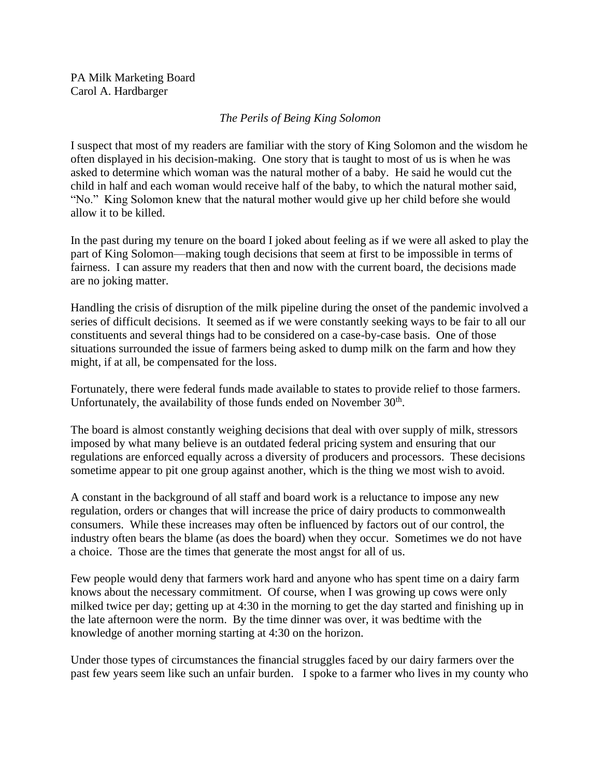PA Milk Marketing Board Carol A. Hardbarger

## *The Perils of Being King Solomon*

I suspect that most of my readers are familiar with the story of King Solomon and the wisdom he often displayed in his decision-making. One story that is taught to most of us is when he was asked to determine which woman was the natural mother of a baby. He said he would cut the child in half and each woman would receive half of the baby, to which the natural mother said, "No." King Solomon knew that the natural mother would give up her child before she would allow it to be killed.

In the past during my tenure on the board I joked about feeling as if we were all asked to play the part of King Solomon—making tough decisions that seem at first to be impossible in terms of fairness. I can assure my readers that then and now with the current board, the decisions made are no joking matter.

Handling the crisis of disruption of the milk pipeline during the onset of the pandemic involved a series of difficult decisions. It seemed as if we were constantly seeking ways to be fair to all our constituents and several things had to be considered on a case-by-case basis. One of those situations surrounded the issue of farmers being asked to dump milk on the farm and how they might, if at all, be compensated for the loss.

Fortunately, there were federal funds made available to states to provide relief to those farmers. Unfortunately, the availability of those funds ended on November  $30<sup>th</sup>$ .

The board is almost constantly weighing decisions that deal with over supply of milk, stressors imposed by what many believe is an outdated federal pricing system and ensuring that our regulations are enforced equally across a diversity of producers and processors. These decisions sometime appear to pit one group against another, which is the thing we most wish to avoid.

A constant in the background of all staff and board work is a reluctance to impose any new regulation, orders or changes that will increase the price of dairy products to commonwealth consumers. While these increases may often be influenced by factors out of our control, the industry often bears the blame (as does the board) when they occur. Sometimes we do not have a choice. Those are the times that generate the most angst for all of us.

Few people would deny that farmers work hard and anyone who has spent time on a dairy farm knows about the necessary commitment. Of course, when I was growing up cows were only milked twice per day; getting up at 4:30 in the morning to get the day started and finishing up in the late afternoon were the norm. By the time dinner was over, it was bedtime with the knowledge of another morning starting at 4:30 on the horizon.

Under those types of circumstances the financial struggles faced by our dairy farmers over the past few years seem like such an unfair burden. I spoke to a farmer who lives in my county who